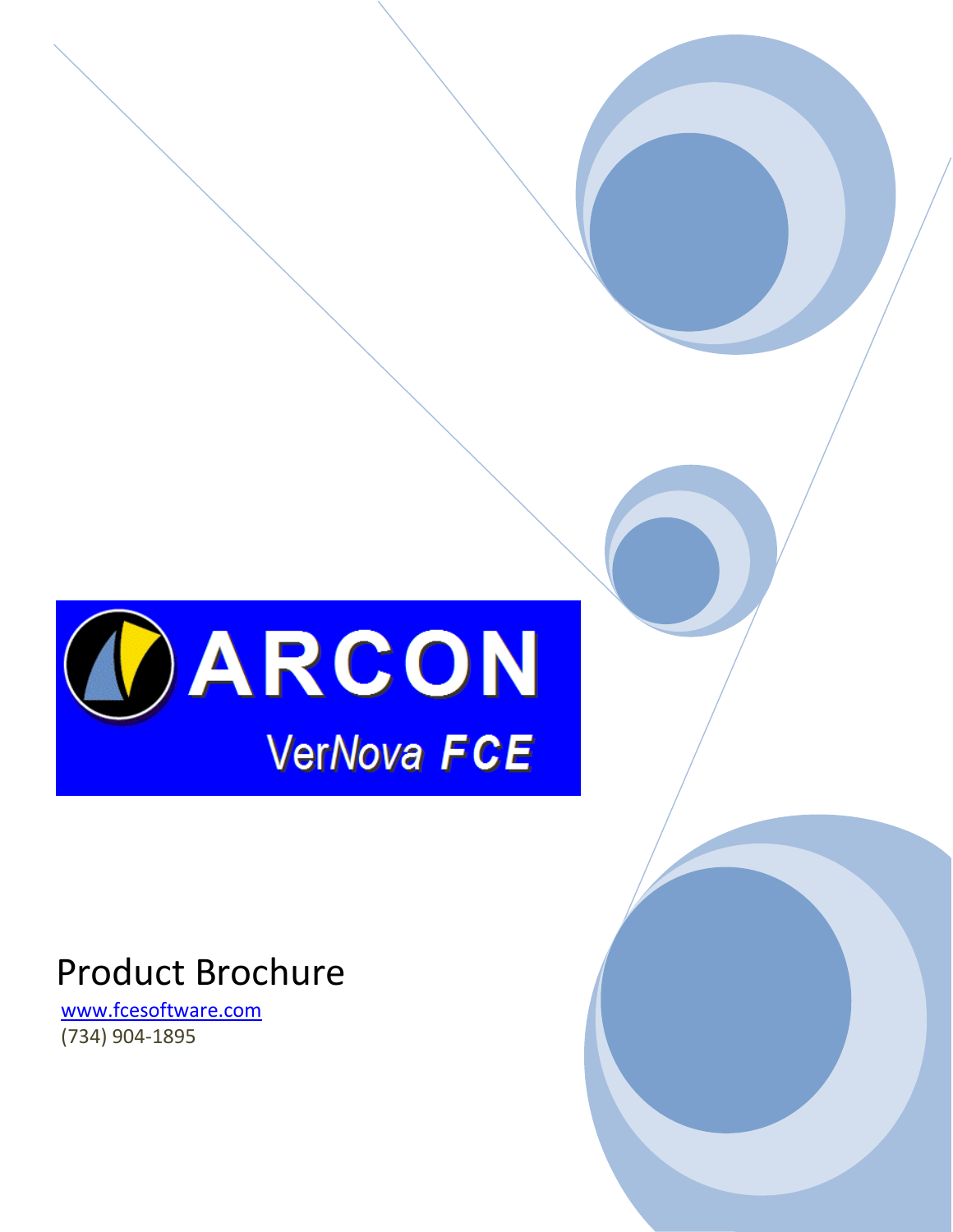

# Product Brochure

[www.fcesoftware.com](http://www.fcesoftware.com/) (734) 904-1895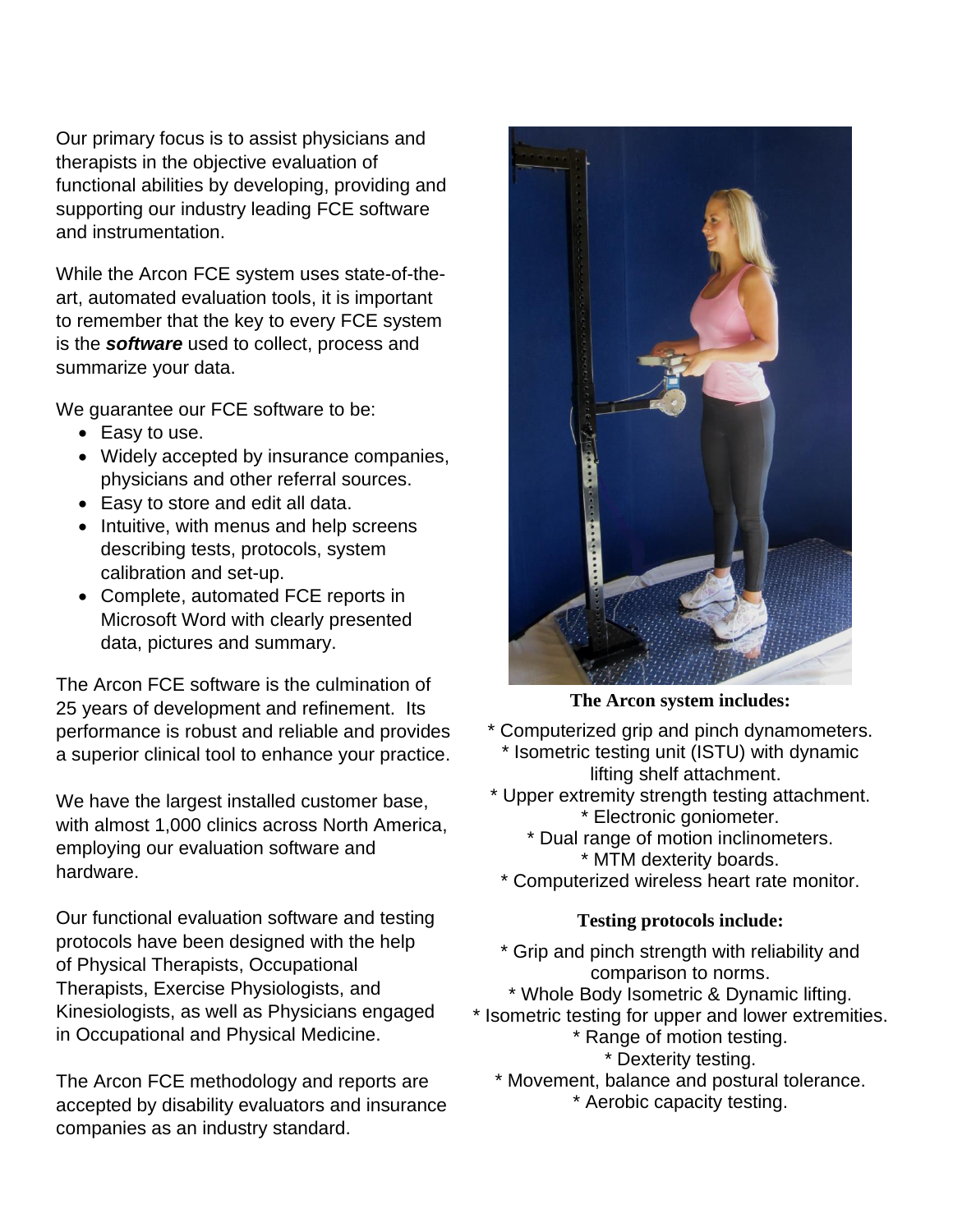Our primary focus is to assist physicians and therapists in the objective evaluation of functional abilities by developing, providing and supporting our industry leading FCE software and instrumentation.

While the Arcon FCE system uses state-of-theart, automated evaluation tools, it is important to remember that the key to every FCE system is the *software* used to collect, process and summarize your data.

We guarantee our FCE software to be:

- Easy to use.
- Widely accepted by insurance companies, physicians and other referral sources.
- Easy to store and edit all data.
- Intuitive, with menus and help screens describing tests, protocols, system calibration and set-up.
- Complete, automated FCE reports in Microsoft Word with clearly presented data, pictures and summary.

The Arcon FCE software is the culmination of 25 years of development and refinement. Its performance is robust and reliable and provides a superior clinical tool to enhance your practice.

We have the largest installed customer base, with almost 1,000 clinics across North America, employing our evaluation software and hardware.

Our functional evaluation software and testing protocols have been designed with the help of Physical Therapists, Occupational Therapists, Exercise Physiologists, and Kinesiologists, as well as Physicians engaged in Occupational and Physical Medicine.

The Arcon FCE methodology and reports are accepted by disability evaluators and insurance companies as an industry standard.



**The Arcon system includes:**

- \* Computerized grip and pinch dynamometers. \* Isometric testing unit (ISTU) with dynamic lifting shelf attachment.
- \* Upper extremity strength testing attachment. \* Electronic goniometer.
	- \* Dual range of motion inclinometers. \* MTM dexterity boards.
	- \* Computerized wireless heart rate monitor.

#### **Testing protocols include:**

- \* Grip and pinch strength with reliability and comparison to norms.
- \* Whole Body Isometric & Dynamic lifting.
- \* Isometric testing for upper and lower extremities.
	- \* Range of motion testing.
		- \* Dexterity testing.
	- \* Movement, balance and postural tolerance. \* Aerobic capacity testing.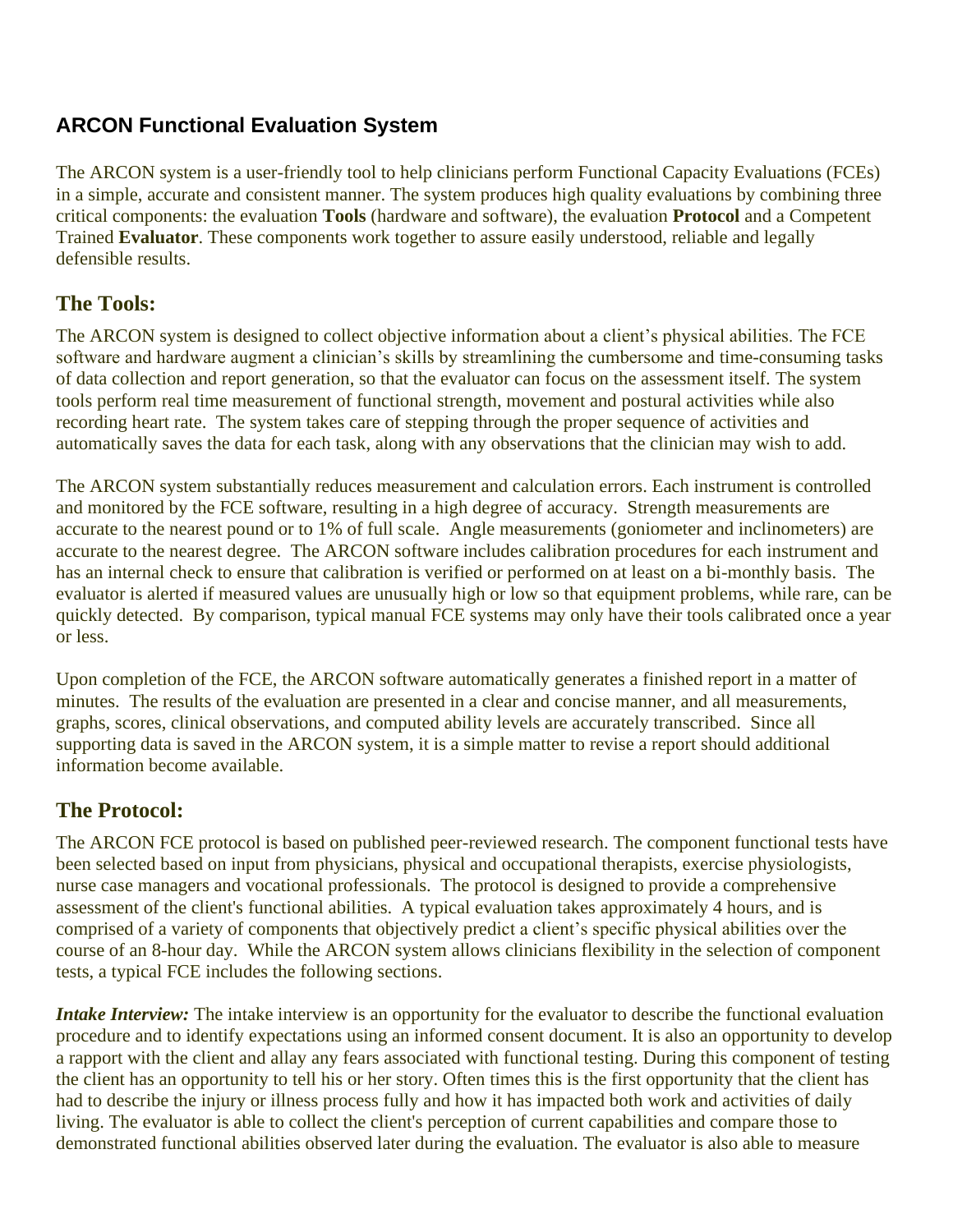### **ARCON Functional Evaluation System**

The ARCON system is a user-friendly tool to help clinicians perform Functional Capacity Evaluations (FCEs) in a simple, accurate and consistent manner. The system produces high quality evaluations by combining three critical components: the evaluation **Tools** (hardware and software), the evaluation **Protocol** and a Competent Trained **Evaluator**. These components work together to assure easily understood, reliable and legally defensible results.

### **The Tools:**

The ARCON system is designed to collect objective information about a client's physical abilities. The FCE software and hardware augment a clinician's skills by streamlining the cumbersome and time-consuming tasks of data collection and report generation, so that the evaluator can focus on the assessment itself. The system tools perform real time measurement of functional strength, movement and postural activities while also recording heart rate. The system takes care of stepping through the proper sequence of activities and automatically saves the data for each task, along with any observations that the clinician may wish to add.

The ARCON system substantially reduces measurement and calculation errors. Each instrument is controlled and monitored by the FCE software, resulting in a high degree of accuracy. Strength measurements are accurate to the nearest pound or to 1% of full scale. Angle measurements (goniometer and inclinometers) are accurate to the nearest degree. The ARCON software includes calibration procedures for each instrument and has an internal check to ensure that calibration is verified or performed on at least on a bi-monthly basis. The evaluator is alerted if measured values are unusually high or low so that equipment problems, while rare, can be quickly detected. By comparison, typical manual FCE systems may only have their tools calibrated once a year or less.

Upon completion of the FCE, the ARCON software automatically generates a finished report in a matter of minutes. The results of the evaluation are presented in a clear and concise manner, and all measurements, graphs, scores, clinical observations, and computed ability levels are accurately transcribed. Since all supporting data is saved in the ARCON system, it is a simple matter to revise a report should additional information become available.

### **The Protocol:**

The ARCON FCE protocol is based on published peer-reviewed research. The component functional tests have been selected based on input from physicians, physical and occupational therapists, exercise physiologists, nurse case managers and vocational professionals. The protocol is designed to provide a comprehensive assessment of the client's functional abilities. A typical evaluation takes approximately 4 hours, and is comprised of a variety of components that objectively predict a client's specific physical abilities over the course of an 8-hour day. While the ARCON system allows clinicians flexibility in the selection of component tests, a typical FCE includes the following sections.

*Intake Interview:* The intake interview is an opportunity for the evaluator to describe the functional evaluation procedure and to identify expectations using an informed consent document. It is also an opportunity to develop a rapport with the client and allay any fears associated with functional testing. During this component of testing the client has an opportunity to tell his or her story. Often times this is the first opportunity that the client has had to describe the injury or illness process fully and how it has impacted both work and activities of daily living. The evaluator is able to collect the client's perception of current capabilities and compare those to demonstrated functional abilities observed later during the evaluation. The evaluator is also able to measure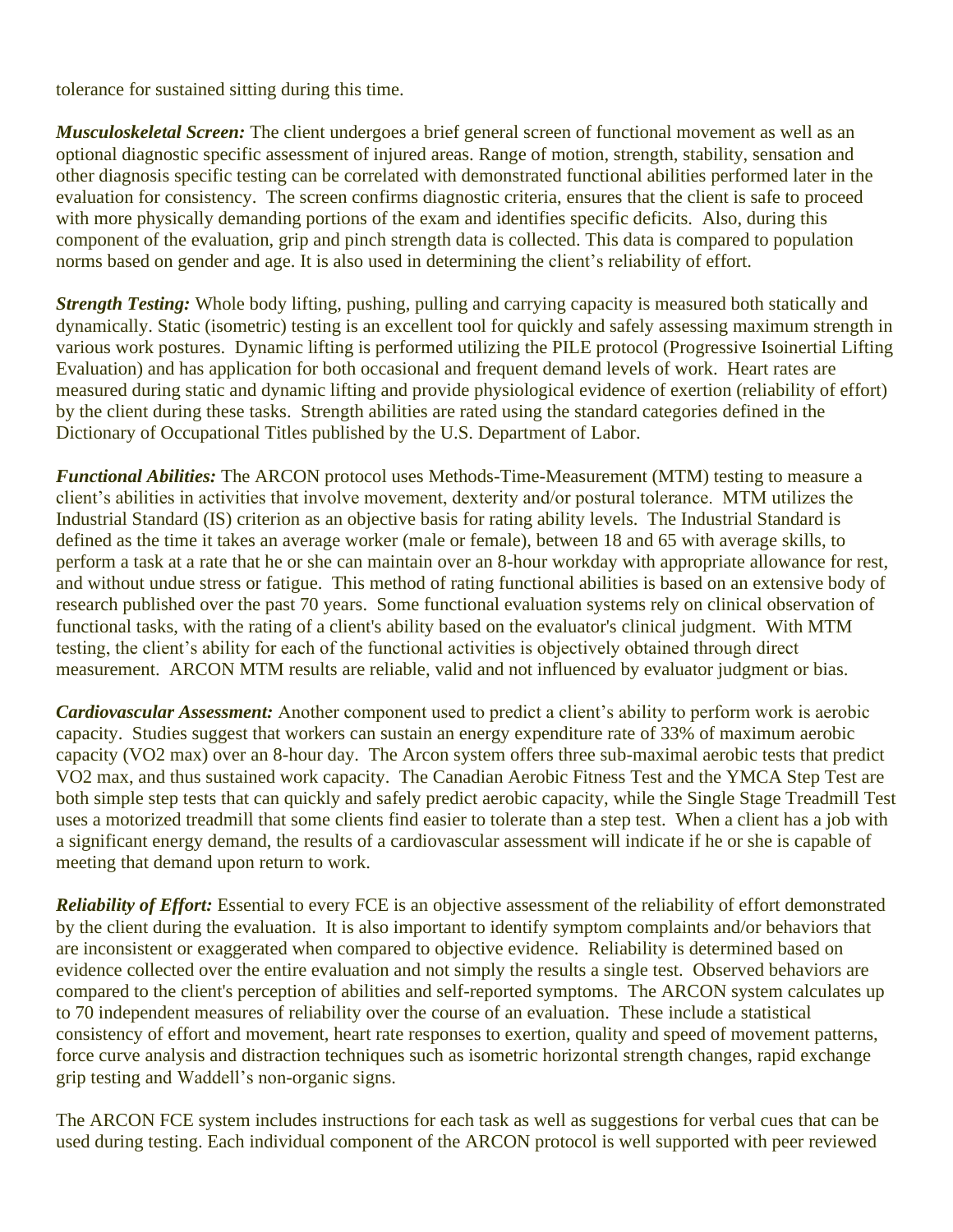tolerance for sustained sitting during this time.

*Musculoskeletal Screen:* The client undergoes a brief general screen of functional movement as well as an optional diagnostic specific assessment of injured areas. Range of motion, strength, stability, sensation and other diagnosis specific testing can be correlated with demonstrated functional abilities performed later in the evaluation for consistency. The screen confirms diagnostic criteria, ensures that the client is safe to proceed with more physically demanding portions of the exam and identifies specific deficits. Also, during this component of the evaluation, grip and pinch strength data is collected. This data is compared to population norms based on gender and age. It is also used in determining the client's reliability of effort.

*Strength Testing:* Whole body lifting, pushing, pulling and carrying capacity is measured both statically and dynamically. Static (isometric) testing is an excellent tool for quickly and safely assessing maximum strength in various work postures. Dynamic lifting is performed utilizing the PILE protocol (Progressive Isoinertial Lifting Evaluation) and has application for both occasional and frequent demand levels of work. Heart rates are measured during static and dynamic lifting and provide physiological evidence of exertion (reliability of effort) by the client during these tasks. Strength abilities are rated using the standard categories defined in the Dictionary of Occupational Titles published by the U.S. Department of Labor.

*Functional Abilities:* The ARCON protocol uses Methods-Time-Measurement (MTM) testing to measure a client's abilities in activities that involve movement, dexterity and/or postural tolerance. MTM utilizes the Industrial Standard (IS) criterion as an objective basis for rating ability levels. The Industrial Standard is defined as the time it takes an average worker (male or female), between 18 and 65 with average skills, to perform a task at a rate that he or she can maintain over an 8-hour workday with appropriate allowance for rest, and without undue stress or fatigue. This method of rating functional abilities is based on an extensive body of research published over the past 70 years. Some functional evaluation systems rely on clinical observation of functional tasks, with the rating of a client's ability based on the evaluator's clinical judgment. With MTM testing, the client's ability for each of the functional activities is objectively obtained through direct measurement. ARCON MTM results are reliable, valid and not influenced by evaluator judgment or bias.

*Cardiovascular Assessment:* Another component used to predict a client's ability to perform work is aerobic capacity. Studies suggest that workers can sustain an energy expenditure rate of 33% of maximum aerobic capacity (VO2 max) over an 8-hour day. The Arcon system offers three sub-maximal aerobic tests that predict VO2 max, and thus sustained work capacity. The Canadian Aerobic Fitness Test and the YMCA Step Test are both simple step tests that can quickly and safely predict aerobic capacity, while the Single Stage Treadmill Test uses a motorized treadmill that some clients find easier to tolerate than a step test. When a client has a job with a significant energy demand, the results of a cardiovascular assessment will indicate if he or she is capable of meeting that demand upon return to work.

*Reliability of Effort:* Essential to every FCE is an objective assessment of the reliability of effort demonstrated by the client during the evaluation. It is also important to identify symptom complaints and/or behaviors that are inconsistent or exaggerated when compared to objective evidence. Reliability is determined based on evidence collected over the entire evaluation and not simply the results a single test. Observed behaviors are compared to the client's perception of abilities and self-reported symptoms. The ARCON system calculates up to 70 independent measures of reliability over the course of an evaluation. These include a statistical consistency of effort and movement, heart rate responses to exertion, quality and speed of movement patterns, force curve analysis and distraction techniques such as isometric horizontal strength changes, rapid exchange grip testing and Waddell's non-organic signs.

The ARCON FCE system includes instructions for each task as well as suggestions for verbal cues that can be used during testing. Each individual component of the ARCON protocol is well supported with peer reviewed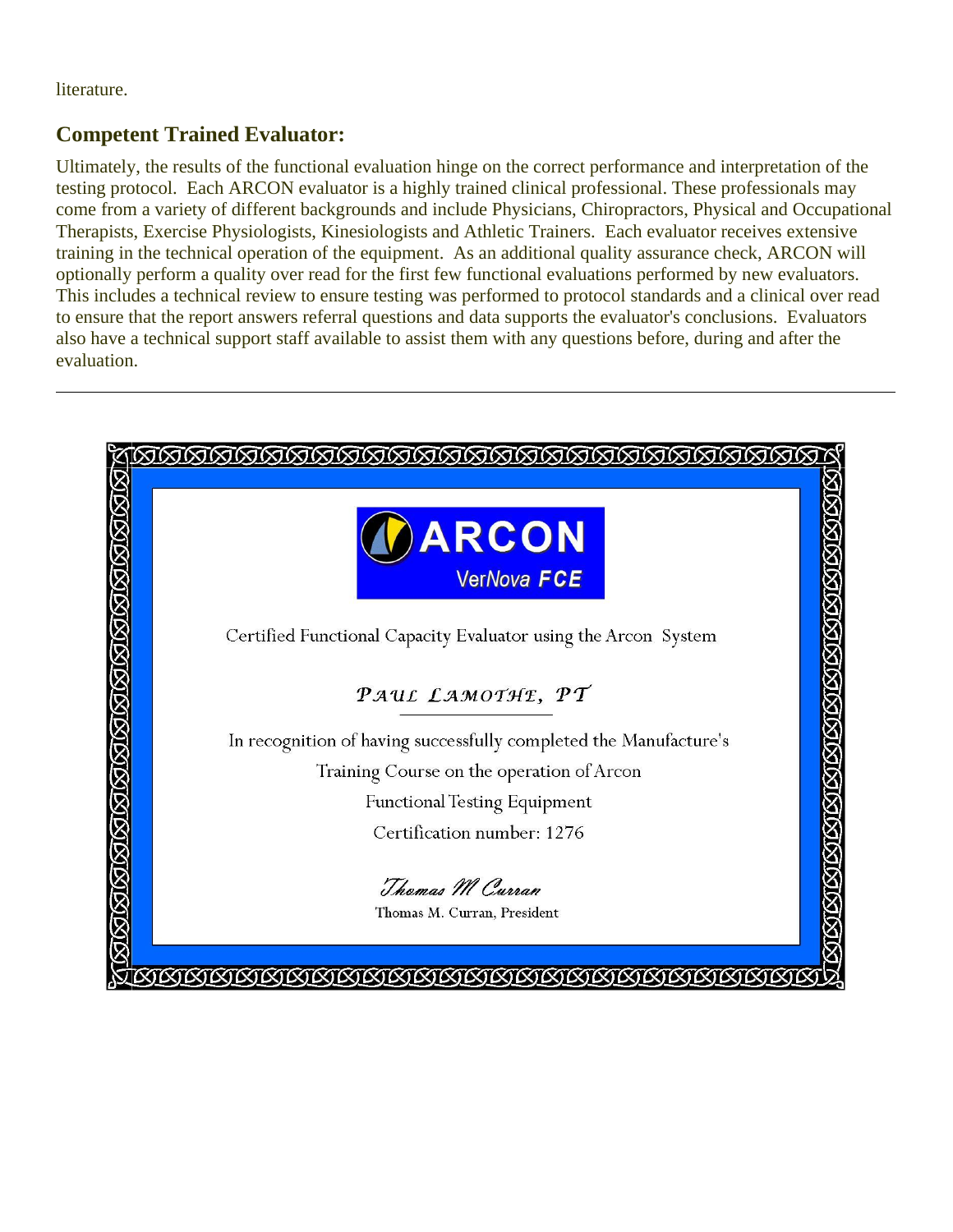literature.

### **Competent Trained Evaluator:**

Ultimately, the results of the functional evaluation hinge on the correct performance and interpretation of the testing protocol. Each ARCON evaluator is a highly trained clinical professional. These professionals may come from a variety of different backgrounds and include Physicians, Chiropractors, Physical and Occupational Therapists, Exercise Physiologists, Kinesiologists and Athletic Trainers. Each evaluator receives extensive training in the technical operation of the equipment. As an additional quality assurance check, ARCON will optionally perform a quality over read for the first few functional evaluations performed by new evaluators. This includes a technical review to ensure testing was performed to protocol standards and a clinical over read to ensure that the report answers referral questions and data supports the evaluator's conclusions. Evaluators also have a technical support staff available to assist them with any questions before, during and after the evaluation.

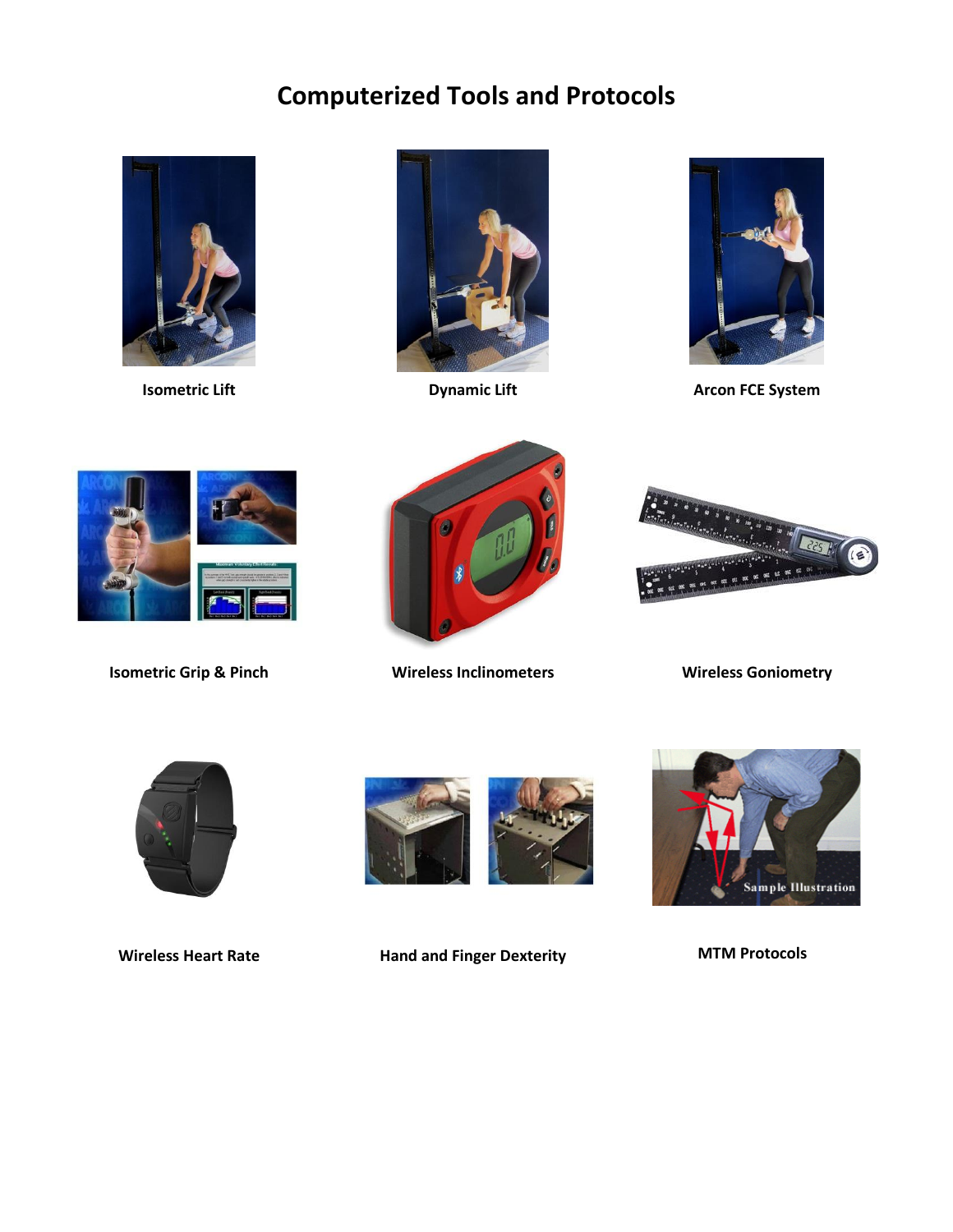## **Computerized Tools and Protocols**







**Isometric Lift Construction Example 2 and Dynamic Lift Arcon FCE System** 





**Isometric Grip & Pinch Wireless Inclinometers Wireless Goniometry**







**Wireless Heart Rate Hand and Finger Dexterity MTM Protocols**

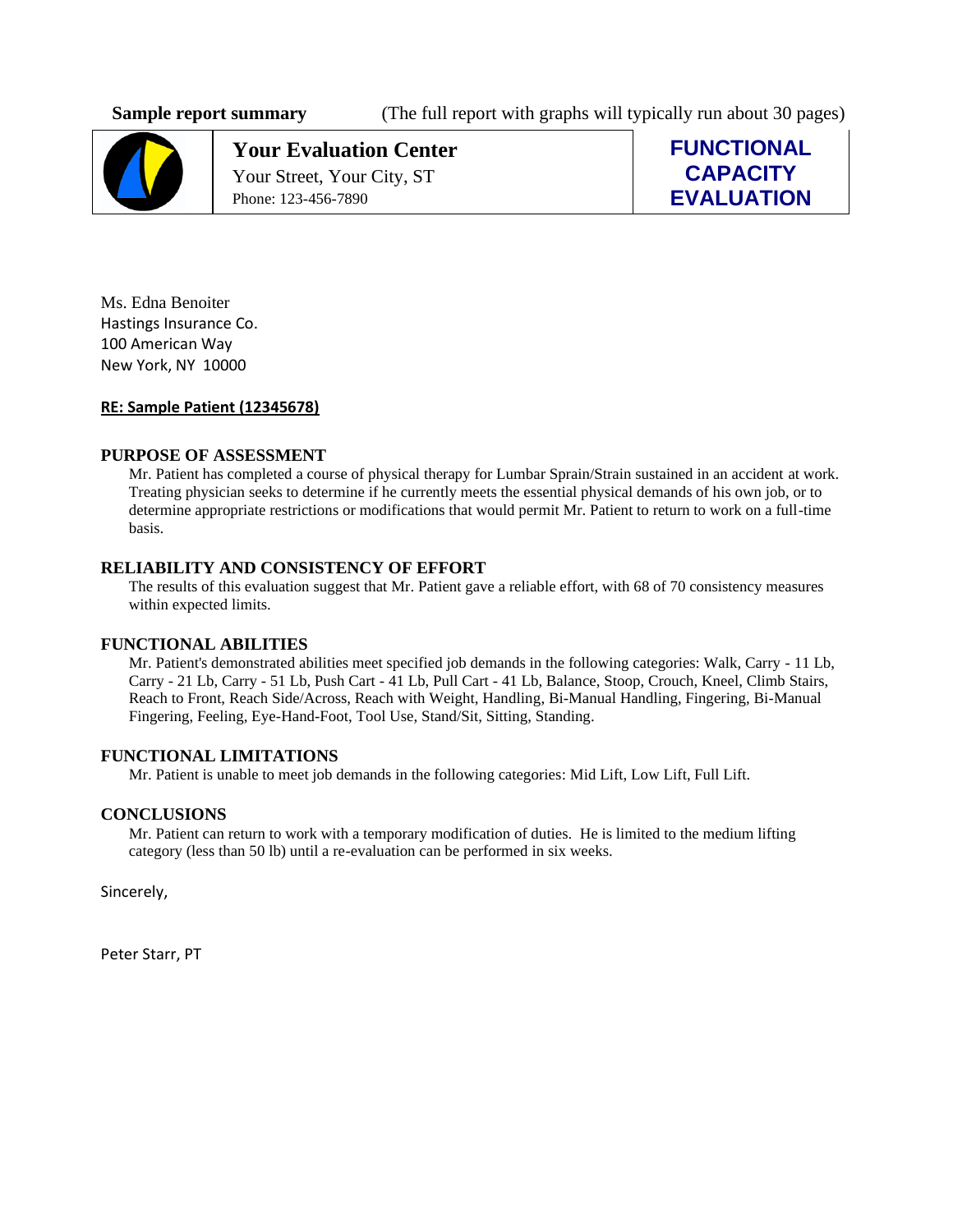**Sample report summary** (The full report with graphs will typically run about 30 pages)



**Your Evaluation Center** Your Street, Your City, ST Phone: 123-456-7890

**FUNCTIONAL CAPACITY EVALUATION**

Ms. Edna Benoiter Hastings Insurance Co. 100 American Way New York, NY 10000

#### **RE: Sample Patient (12345678)**

#### **PURPOSE OF ASSESSMENT**

Mr. Patient has completed a course of physical therapy for Lumbar Sprain/Strain sustained in an accident at work. Treating physician seeks to determine if he currently meets the essential physical demands of his own job, or to determine appropriate restrictions or modifications that would permit Mr. Patient to return to work on a full-time basis.

#### **RELIABILITY AND CONSISTENCY OF EFFORT**

The results of this evaluation suggest that Mr. Patient gave a reliable effort, with 68 of 70 consistency measures within expected limits.

#### **FUNCTIONAL ABILITIES**

Mr. Patient's demonstrated abilities meet specified job demands in the following categories: Walk, Carry - 11 Lb, Carry - 21 Lb, Carry - 51 Lb, Push Cart - 41 Lb, Pull Cart - 41 Lb, Balance, Stoop, Crouch, Kneel, Climb Stairs, Reach to Front, Reach Side/Across, Reach with Weight, Handling, Bi-Manual Handling, Fingering, Bi-Manual Fingering, Feeling, Eye-Hand-Foot, Tool Use, Stand/Sit, Sitting, Standing.

#### **FUNCTIONAL LIMITATIONS**

Mr. Patient is unable to meet job demands in the following categories: Mid Lift, Low Lift, Full Lift.

#### **CONCLUSIONS**

Mr. Patient can return to work with a temporary modification of duties. He is limited to the medium lifting category (less than 50 lb) until a re-evaluation can be performed in six weeks.

Sincerely,

Peter Starr, PT